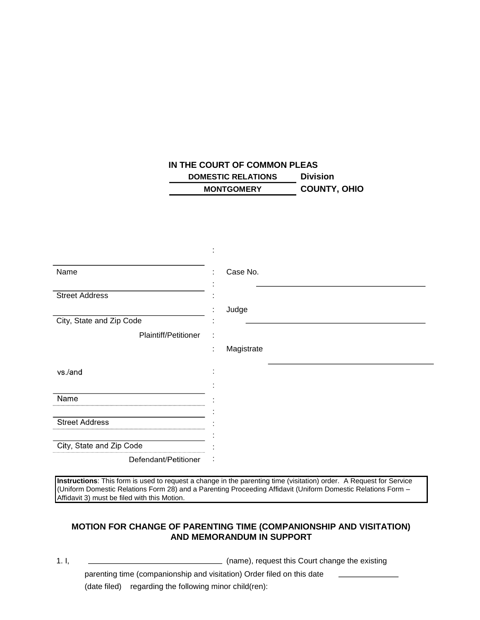## **IN THE COURT OF COMMON PLEAS DOMESTIC RELATIONS Division MONTGOMERY COUNTY, OHIO**

|                          | ٠                        |
|--------------------------|--------------------------|
| Name                     | Case No.<br>÷            |
| <b>Street Address</b>    |                          |
|                          | Judge                    |
| City, State and Zip Code |                          |
| Plaintiff/Petitioner     | ÷                        |
|                          | Magistrate<br>٠<br>÷.    |
| vs./and                  |                          |
| Name                     |                          |
| <b>Street Address</b>    |                          |
| City, State and Zip Code |                          |
| Defendant/Petitioner     | $\overline{\phantom{a}}$ |

**Instructions**: This form is used to request a change in the parenting time (visitation) order. A Request for Service (Uniform Domestic Relations Form 28) and a Parenting Proceeding Affidavit (Uniform Domestic Relations Form – Affidavit 3) must be filed with this Motion.

## **MOTION FOR CHANGE OF PARENTING TIME (COMPANIONSHIP AND VISITATION) AND MEMORANDUM IN SUPPORT**

1. I, (name), request this Court change the existing parenting time (companionship and visitation) Order filed on this date (date filed) regarding the following minor child(ren):